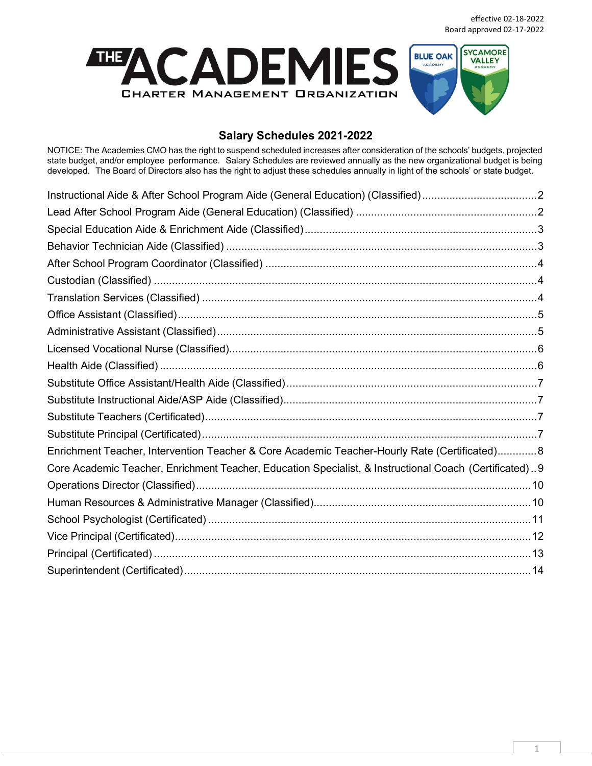

## **Salary Schedules 2021-2022**

NOTICE: The Academies CMO has the right to suspend scheduled increases after consideration of the schools' budgets, projected state budget, and/or employee performance. Salary Schedules are reviewed annually as the new organizational budget is being developed. The Board of Directors also has the right to adjust these schedules annually in light of the schools' or state budget.

| Enrichment Teacher, Intervention Teacher & Core Academic Teacher-Hourly Rate (Certificated)8           |  |
|--------------------------------------------------------------------------------------------------------|--|
| Core Academic Teacher, Enrichment Teacher, Education Specialist, & Instructional Coach (Certificated)9 |  |
|                                                                                                        |  |
|                                                                                                        |  |
|                                                                                                        |  |
|                                                                                                        |  |
|                                                                                                        |  |
|                                                                                                        |  |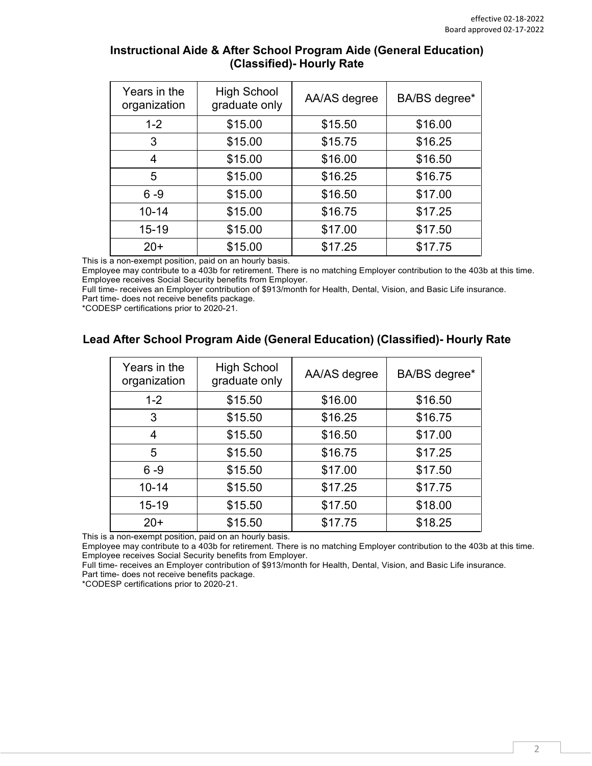| Years in the<br>organization | <b>High School</b><br>graduate only | AA/AS degree | BA/BS degree* |
|------------------------------|-------------------------------------|--------------|---------------|
| $1 - 2$                      | \$15.00                             | \$15.50      | \$16.00       |
| 3                            | \$15.00                             | \$15.75      | \$16.25       |
| 4                            | \$15.00                             | \$16.00      | \$16.50       |
| 5                            | \$15.00                             | \$16.25      | \$16.75       |
| $6 - 9$                      | \$15.00                             | \$16.50      | \$17.00       |
| $10 - 14$                    | \$15.00                             | \$16.75      | \$17.25       |
| $15 - 19$                    | \$15.00                             | \$17.00      | \$17.50       |
| $20+$                        | \$15.00                             | \$17.25      | \$17.75       |

### <span id="page-1-0"></span>**Instructional Aide & After School Program Aide (General Education) (Classified)- Hourly Rate**

This is a non-exempt position, paid on an hourly basis.

Employee may contribute to a 403b for retirement. There is no matching Employer contribution to the 403b at this time. Employee receives Social Security benefits from Employer.

Full time- receives an Employer contribution of \$913/month for Health, Dental, Vision, and Basic Life insurance. Part time- does not receive benefits package.

\*CODESP certifications prior to 2020-21.

## <span id="page-1-1"></span>**Lead After School Program Aide (General Education) (Classified)- Hourly Rate**

| Years in the<br>organization | <b>High School</b><br>graduate only | AA/AS degree | BA/BS degree* |
|------------------------------|-------------------------------------|--------------|---------------|
| $1 - 2$                      | \$15.50                             | \$16.00      | \$16.50       |
| 3                            | \$15.50                             | \$16.25      | \$16.75       |
| 4                            | \$15.50                             | \$16.50      | \$17.00       |
| 5                            | \$15.50                             | \$16.75      | \$17.25       |
| $6 - 9$                      | \$15.50                             | \$17.00      | \$17.50       |
| $10 - 14$                    | \$15.50                             | \$17.25      | \$17.75       |
| $15 - 19$                    | \$15.50                             | \$17.50      | \$18.00       |
| $20+$                        | \$15.50                             | \$17.75      | \$18.25       |

This is a non-exempt position, paid on an hourly basis.

Employee may contribute to a 403b for retirement. There is no matching Employer contribution to the 403b at this time. Employee receives Social Security benefits from Employer.

Full time- receives an Employer contribution of \$913/month for Health, Dental, Vision, and Basic Life insurance. Part time- does not receive benefits package.

\*CODESP certifications prior to 2020-21.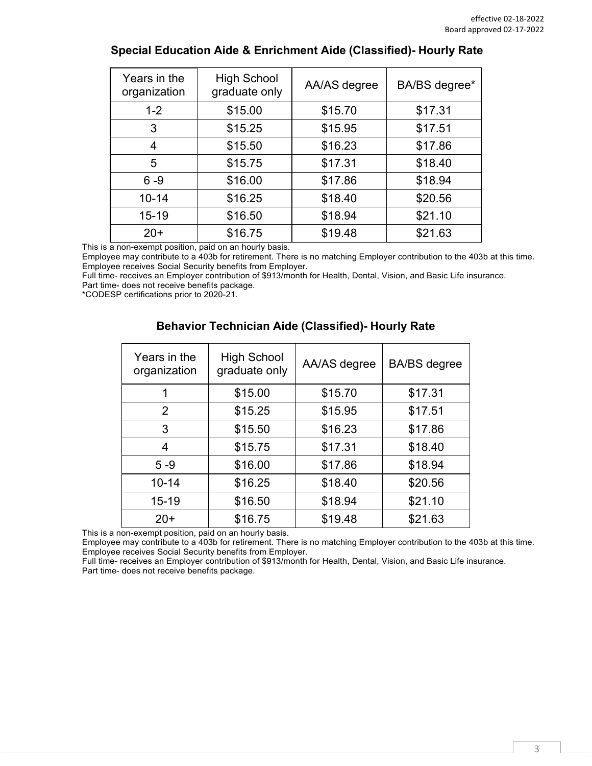| Years in the<br>organization | <b>High School</b><br>graduate only | AA/AS degree | BA/BS degree* |
|------------------------------|-------------------------------------|--------------|---------------|
| $1 - 2$                      | \$15.00                             | \$15.70      | \$17.31       |
| 3                            | \$15.25                             | \$15.95      | \$17.51       |
| 4                            | \$15.50                             | \$16.23      | \$17.86       |
| 5                            | \$15.75                             | \$17.31      | \$18.40       |
| $6 - 9$                      | \$16.00                             | \$17.86      | \$18.94       |
| $10 - 14$                    | \$16.25                             | \$18.40      | \$20.56       |
| $15 - 19$                    | \$16.50                             | \$18.94      | \$21.10       |
| $20+$                        | \$16.75                             | \$19.48      | \$21.63       |

### <span id="page-2-0"></span>**Special Education Aide & Enrichment Aide (Classified)- Hourly Rate**

This is a non-exempt position, paid on an hourly basis.

Employee may contribute to a 403b for retirement. There is no matching Employer contribution to the 403b at this time. Employee receives Social Security benefits from Employer.

Full time- receives an Employer contribution of \$913/month for Health, Dental, Vision, and Basic Life insurance. Part time- does not receive benefits package.

<span id="page-2-1"></span>\*CODESP certifications prior to 2020-21.

| Years in the<br>organization | <b>High School</b><br>graduate only | AA/AS degree | <b>BA/BS</b> degree |
|------------------------------|-------------------------------------|--------------|---------------------|
|                              | \$15.00                             | \$15.70      | \$17.31             |
| 2                            | \$15.25                             | \$15.95      | \$17.51             |
| 3                            | \$15.50                             | \$16.23      | \$17.86             |
| 4                            | \$15.75                             | \$17.31      | \$18.40             |
| $5 - 9$                      | \$16.00                             | \$17.86      | \$18.94             |
| $10 - 14$                    | \$16.25                             | \$18.40      | \$20.56             |
| $15 - 19$                    | \$16.50                             | \$18.94      | \$21.10             |
| $20+$                        | \$16.75                             | \$19.48      | \$21.63             |

#### **Behavior Technician Aide (Classified)- Hourly Rate**

This is a non-exempt position, paid on an hourly basis.

Employee may contribute to a 403b for retirement. There is no matching Employer contribution to the 403b at this time. Employee receives Social Security benefits from Employer.

Full time- receives an Employer contribution of \$913/month for Health, Dental, Vision, and Basic Life insurance. Part time- does not receive benefits package.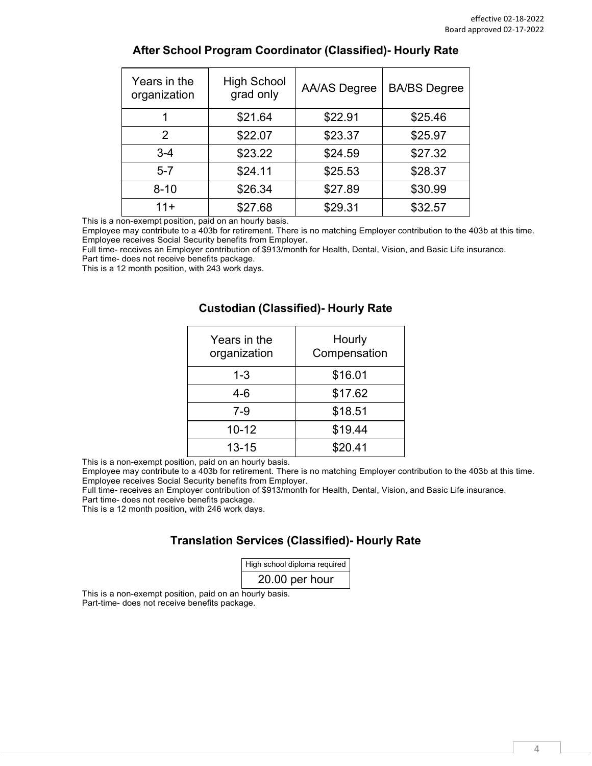<span id="page-3-0"></span>

| Years in the<br>organization | <b>High School</b><br>grad only | <b>AA/AS Degree</b> | <b>BA/BS</b> Degree |
|------------------------------|---------------------------------|---------------------|---------------------|
|                              | \$21.64                         | \$22.91             | \$25.46             |
| $\overline{2}$               | \$22.07                         | \$23.37             | \$25.97             |
| $3 - 4$                      | \$23.22                         | \$24.59             | \$27.32             |
| $5 - 7$                      | \$24.11                         | \$25.53             | \$28.37             |
| $8 - 10$                     | \$26.34                         | \$27.89             | \$30.99             |
| $11+$                        | \$27.68                         | \$29.31             | \$32.57             |

### **After School Program Coordinator (Classified)- Hourly Rate**

This is a non-exempt position, paid on an hourly basis.

Employee may contribute to a 403b for retirement. There is no matching Employer contribution to the 403b at this time. Employee receives Social Security benefits from Employer.

Full time- receives an Employer contribution of \$913/month for Health, Dental, Vision, and Basic Life insurance.

Part time- does not receive benefits package.

<span id="page-3-1"></span>This is a 12 month position, with 243 work days.

#### **Custodian (Classified)- Hourly Rate**

| Years in the<br>organization | Hourly<br>Compensation |
|------------------------------|------------------------|
| 1-3                          | \$16.01                |
| 4-6                          | \$17.62                |
| $7-9$                        | \$18.51                |
| $10 - 12$                    | \$19.44                |
| $13 - 15$                    | \$20.41                |

This is a non-exempt position, paid on an hourly basis.

Employee may contribute to a 403b for retirement. There is no matching Employer contribution to the 403b at this time. Employee receives Social Security benefits from Employer.

Full time- receives an Employer contribution of \$913/month for Health, Dental, Vision, and Basic Life insurance.

Part time- does not receive benefits package.

<span id="page-3-2"></span>This is a 12 month position, with 246 work days.

# **Translation Services (Classified)- Hourly Rate**

| High school diploma required |  |  |
|------------------------------|--|--|
| 20.00 per hour               |  |  |

This is a non-exempt position, paid on an hourly basis. Part-time- does not receive benefits package.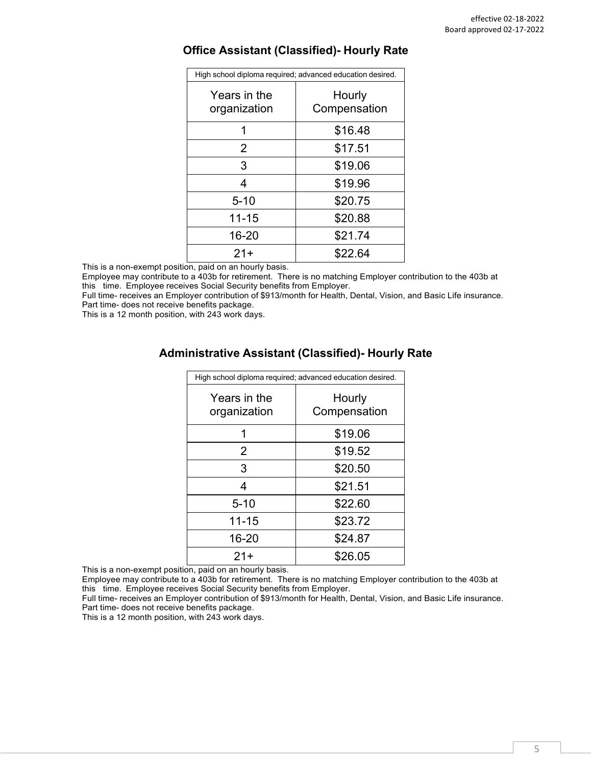| High school diploma required; advanced education desired. |                        |  |
|-----------------------------------------------------------|------------------------|--|
| Years in the<br>organization                              | Hourly<br>Compensation |  |
|                                                           | \$16.48                |  |
| 2                                                         | \$17.51                |  |
| 3                                                         | \$19.06                |  |
|                                                           | \$19.96                |  |
| 5-10                                                      | \$20.75                |  |

11-15 \$20.88 16-20 \$21.74 21+ \$22.64

#### <span id="page-4-0"></span>**Office Assistant (Classified)- Hourly Rate**

This is a non-exempt position, paid on an hourly basis.

Employee may contribute to a 403b for retirement. There is no matching Employer contribution to the 403b at this time. Employee receives Social Security benefits from Employer.

Full time- receives an Employer contribution of \$913/month for Health, Dental, Vision, and Basic Life insurance. Part time- does not receive benefits package.

<span id="page-4-1"></span>This is a 12 month position, with 243 work days.

### **Administrative Assistant (Classified)- Hourly Rate**

| High school diploma required; advanced education desired. |                        |
|-----------------------------------------------------------|------------------------|
| Years in the<br>organization                              | Hourly<br>Compensation |
| 1                                                         | \$19.06                |
| $\overline{2}$                                            | \$19.52                |
| 3                                                         | \$20.50                |
| 4                                                         | \$21.51                |
| $5 - 10$                                                  | \$22.60                |
| $11 - 15$                                                 | \$23.72                |
| 16-20                                                     | \$24.87                |
| $21+$                                                     | \$26.05                |

This is a non-exempt position, paid on an hourly basis.

Employee may contribute to a 403b for retirement. There is no matching Employer contribution to the 403b at this time. Employee receives Social Security benefits from Employer.

Full time- receives an Employer contribution of \$913/month for Health, Dental, Vision, and Basic Life insurance. Part time- does not receive benefits package.

This is a 12 month position, with 243 work days.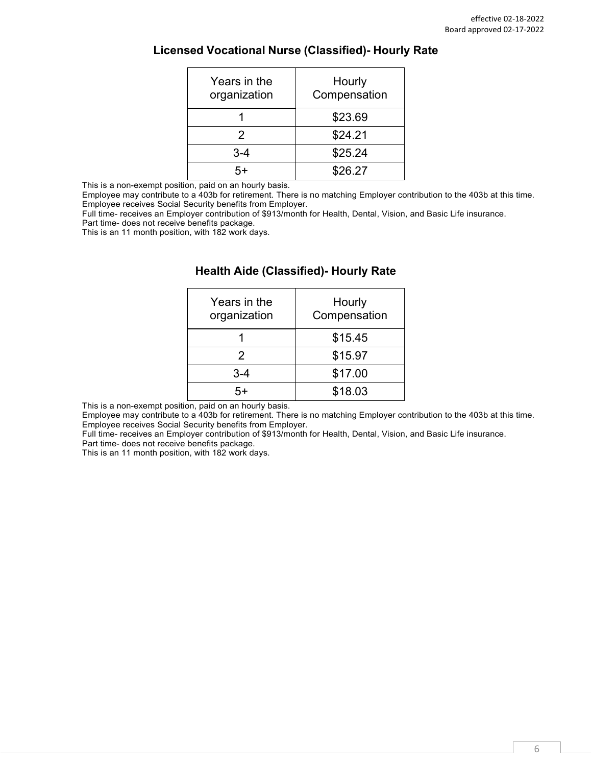<span id="page-5-0"></span>

| Years in the<br>organization | Hourly<br>Compensation |
|------------------------------|------------------------|
|                              | \$23.69                |
| 2                            | \$24.21                |
| 3-4                          | \$25.24                |
|                              | \$26.27                |

This is a non-exempt position, paid on an hourly basis.

Employee may contribute to a 403b for retirement. There is no matching Employer contribution to the 403b at this time. Employee receives Social Security benefits from Employer.

Full time- receives an Employer contribution of \$913/month for Health, Dental, Vision, and Basic Life insurance.

Part time- does not receive benefits package.

<span id="page-5-1"></span>This is an 11 month position, with 182 work days.

| Years in the<br>organization | Hourly<br>Compensation |
|------------------------------|------------------------|
|                              | \$15.45                |
| 2                            | \$15.97                |
| 3-4                          | \$17.00                |
|                              | \$18.03                |

#### **Health Aide (Classified)- Hourly Rate**

This is a non-exempt position, paid on an hourly basis.

Employee may contribute to a 403b for retirement. There is no matching Employer contribution to the 403b at this time. Employee receives Social Security benefits from Employer.

Full time- receives an Employer contribution of \$913/month for Health, Dental, Vision, and Basic Life insurance. Part time- does not receive benefits package.

This is an 11 month position, with 182 work days.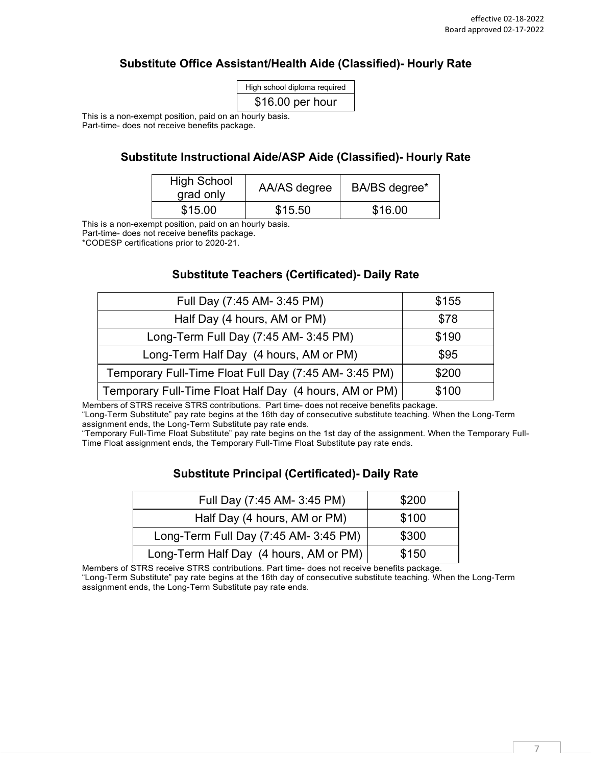## **Substitute Office Assistant/Health Aide (Classified)- Hourly Rate**

| High school diploma required |
|------------------------------|
| \$16.00 per hour             |

<span id="page-6-1"></span><span id="page-6-0"></span>This is a non-exempt position, paid on an hourly basis. Part-time- does not receive benefits package.

### **Substitute Instructional Aide/ASP Aide (Classified)- Hourly Rate**

| <b>High School</b><br>grad only | AA/AS degree | BA/BS degree* |
|---------------------------------|--------------|---------------|
| \$15.00                         | \$15.50      | \$16.00       |

This is a non-exempt position, paid on an hourly basis.

Part-time- does not receive benefits package.

<span id="page-6-2"></span>\*CODESP certifications prior to 2020-21.

#### **Substitute Teachers (Certificated)- Daily Rate**

| Full Day (7:45 AM- 3:45 PM)                            | \$155 |
|--------------------------------------------------------|-------|
| Half Day (4 hours, AM or PM)                           | \$78  |
| Long-Term Full Day (7:45 AM- 3:45 PM)                  | \$190 |
| Long-Term Half Day (4 hours, AM or PM)                 | \$95  |
| Temporary Full-Time Float Full Day (7:45 AM- 3:45 PM)  | \$200 |
| Temporary Full-Time Float Half Day (4 hours, AM or PM) | \$100 |

Members of STRS receive STRS contributions. Part time- does not receive benefits package. "Long-Term Substitute" pay rate begins at the 16th day of consecutive substitute teaching. When the Long-Term assignment ends, the Long-Term Substitute pay rate ends.

<span id="page-6-3"></span>"Temporary Full-Time Float Substitute" pay rate begins on the 1st day of the assignment. When the Temporary Full-Time Float assignment ends, the Temporary Full-Time Float Substitute pay rate ends.

### **Substitute Principal (Certificated)- Daily Rate**

| Full Day (7:45 AM- 3:45 PM)            | \$200 |
|----------------------------------------|-------|
| Half Day (4 hours, AM or PM)           | \$100 |
| Long-Term Full Day (7:45 AM- 3:45 PM)  | \$300 |
| Long-Term Half Day (4 hours, AM or PM) | \$150 |

Members of STRS receive STRS contributions. Part time- does not receive benefits package.

"Long-Term Substitute" pay rate begins at the 16th day of consecutive substitute teaching. When the Long-Term assignment ends, the Long-Term Substitute pay rate ends.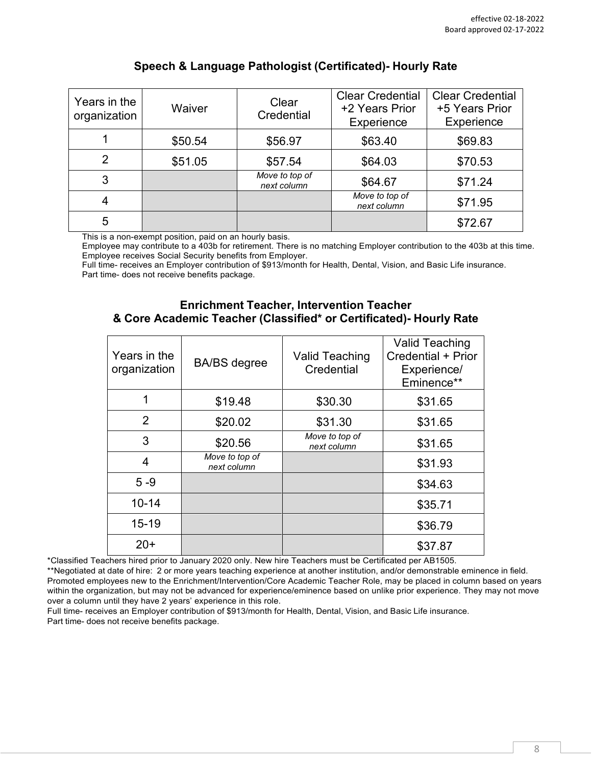| Years in the<br>organization  | Waiver                                    | Clear<br>Credential                                                                                             | <b>Clear Credential</b><br>+2 Years Prior<br>Experience | <b>Clear Credential</b><br>+5 Years Prior<br>Experience |
|-------------------------------|-------------------------------------------|-----------------------------------------------------------------------------------------------------------------|---------------------------------------------------------|---------------------------------------------------------|
|                               | \$50.54                                   | \$56.97                                                                                                         | \$63.40                                                 | \$69.83                                                 |
| 2                             | \$51.05                                   | \$57.54                                                                                                         | \$64.03                                                 | \$70.53                                                 |
| 3                             |                                           | Move to top of<br>next column                                                                                   | \$64.67                                                 | \$71.24                                                 |
| 4                             |                                           |                                                                                                                 | Move to top of<br>next column                           | \$71.95                                                 |
| 5<br><b>THE REAL PROPERTY</b> | and the control of the first state of the | and the second contract the second second second second second second second second second second second second |                                                         | \$72.67                                                 |

## **Speech & Language Pathologist (Certificated)- Hourly Rate**

This is a non-exempt position, paid on an hourly basis.

Employee may contribute to a 403b for retirement. There is no matching Employer contribution to the 403b at this time. Employee receives Social Security benefits from Employer.

<span id="page-7-0"></span>Full time- receives an Employer contribution of \$913/month for Health, Dental, Vision, and Basic Life insurance. Part time- does not receive benefits package.

#### **Enrichment Teacher, Intervention Teacher & Core Academic Teacher (Classified\* or Certificated)- Hourly Rate**

| Years in the<br>organization | <b>BA/BS</b> degree           | <b>Valid Teaching</b><br>Credential | <b>Valid Teaching</b><br>Credential + Prior<br>Experience/<br>Eminence** |
|------------------------------|-------------------------------|-------------------------------------|--------------------------------------------------------------------------|
|                              | \$19.48                       | \$30.30                             | \$31.65                                                                  |
| $\overline{2}$               | \$20.02                       | \$31.30                             | \$31.65                                                                  |
| 3                            | \$20.56                       | Move to top of<br>next column       | \$31.65                                                                  |
| 4                            | Move to top of<br>next column |                                     | \$31.93                                                                  |
| $5 - 9$                      |                               |                                     | \$34.63                                                                  |
| $10 - 14$                    |                               |                                     | \$35.71                                                                  |
| $15 - 19$                    |                               |                                     | \$36.79                                                                  |
| $20+$                        |                               |                                     | \$37.87                                                                  |

\*Classified Teachers hired prior to January 2020 only. New hire Teachers must be Certificated per AB1505.

\*\*Negotiated at date of hire: 2 or more years teaching experience at another institution, and/or demonstrable eminence in field. Promoted employees new to the Enrichment/Intervention/Core Academic Teacher Role, may be placed in column based on years within the organization, but may not be advanced for experience/eminence based on unlike prior experience. They may not move over a column until they have 2 years' experience in this role.

Full time- receives an Employer contribution of \$913/month for Health, Dental, Vision, and Basic Life insurance. Part time- does not receive benefits package.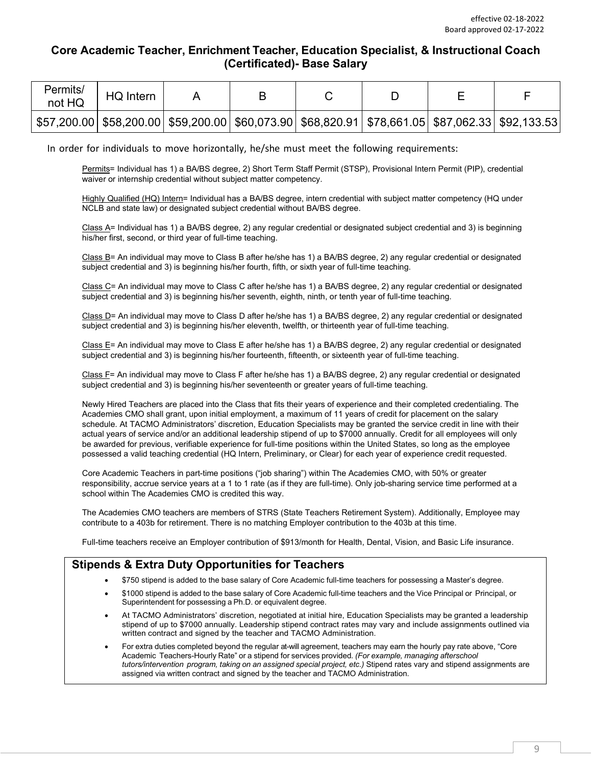### <span id="page-8-0"></span>**Core Academic Teacher, Enrichment Teacher, Education Specialist, & Instructional Coach (Certificated)- Base Salary**

| Permits/<br>not HQ | HQ Intern |  |                                                                                                        |  |  |
|--------------------|-----------|--|--------------------------------------------------------------------------------------------------------|--|--|
|                    |           |  | \$57,200.00  \$58,200.00  \$59,200.00  \$60,073.90  \$68,820.91  \$78,661.05  \$87,062.33  \$92,133.53 |  |  |

In order for individuals to move horizontally, he/she must meet the following requirements:

Permits= Individual has 1) a BA/BS degree, 2) Short Term Staff Permit (STSP), Provisional Intern Permit (PIP), credential waiver or internship credential without subject matter competency.

Highly Qualified (HQ) Intern= Individual has a BA/BS degree, intern credential with subject matter competency (HQ under NCLB and state law) or designated subject credential without BA/BS degree.

Class A= Individual has 1) a BA/BS degree, 2) any regular credential or designated subject credential and 3) is beginning his/her first, second, or third year of full-time teaching.

Class B= An individual may move to Class B after he/she has 1) a BA/BS degree, 2) any regular credential or designated subject credential and 3) is beginning his/her fourth, fifth, or sixth year of full-time teaching.

Class C= An individual may move to Class C after he/she has 1) a BA/BS degree, 2) any regular credential or designated subject credential and 3) is beginning his/her seventh, eighth, ninth, or tenth year of full-time teaching.

Class D= An individual may move to Class D after he/she has 1) a BA/BS degree, 2) any regular credential or designated subject credential and 3) is beginning his/her eleventh, twelfth, or thirteenth year of full-time teaching.

Class E= An individual may move to Class E after he/she has 1) a BA/BS degree, 2) any regular credential or designated subject credential and 3) is beginning his/her fourteenth, fifteenth, or sixteenth year of full-time teaching.

Class F= An individual may move to Class F after he/she has 1) a BA/BS degree, 2) any regular credential or designated subject credential and 3) is beginning his/her seventeenth or greater years of full-time teaching.

Newly Hired Teachers are placed into the Class that fits their years of experience and their completed credentialing. The Academies CMO shall grant, upon initial employment, a maximum of 11 years of credit for placement on the salary schedule. At TACMO Administrators' discretion, Education Specialists may be granted the service credit in line with their actual years of service and/or an additional leadership stipend of up to \$7000 annually. Credit for all employees will only be awarded for previous, verifiable experience for full-time positions within the United States, so long as the employee possessed a valid teaching credential (HQ Intern, Preliminary, or Clear) for each year of experience credit requested.

Core Academic Teachers in part-time positions ("job sharing") within The Academies CMO, with 50% or greater responsibility, accrue service years at a 1 to 1 rate (as if they are full-time). Only job-sharing service time performed at a school within The Academies CMO is credited this way.

The Academies CMO teachers are members of STRS (State Teachers Retirement System). Additionally, Employee may contribute to a 403b for retirement. There is no matching Employer contribution to the 403b at this time.

Full-time teachers receive an Employer contribution of \$913/month for Health, Dental, Vision, and Basic Life insurance.

### **Stipends & Extra Duty Opportunities for Teachers**

- \$750 stipend is added to the base salary of Core Academic full-time teachers for possessing a Master's degree.
- \$1000 stipend is added to the base salary of Core Academic full-time teachers and the Vice Principal or Principal, or Superintendent for possessing a Ph.D. or equivalent degree.
- At TACMO Administrators' discretion, negotiated at initial hire, Education Specialists may be granted a leadership stipend of up to \$7000 annually. Leadership stipend contract rates may vary and include assignments outlined via written contract and signed by the teacher and TACMO Administration.
- For extra duties completed beyond the regular at-will agreement, teachers may earn the hourly pay rate above, "Core Academic Teachers-Hourly Rate" or a stipend for services provided. *(For example, managing afterschool tutors/intervention program, taking on an assigned special project, etc.)* Stipend rates vary and stipend assignments are assigned via written contract and signed by the teacher and TACMO Administration.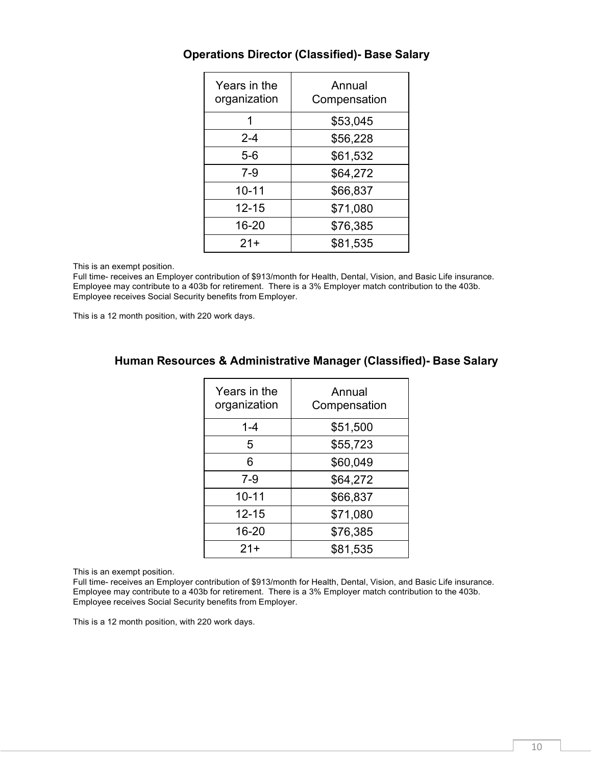| Years in the<br>organization | Annual<br>Compensation |
|------------------------------|------------------------|
| 1                            | \$53,045               |
| $2 - 4$                      | \$56,228               |
| $5-6$                        | \$61,532               |
| $7-9$                        | \$64,272               |
| $10 - 11$                    | \$66,837               |
| 12-15                        | \$71,080               |
| 16-20                        | \$76,385               |
| $21+$                        | \$81,535               |

### <span id="page-9-0"></span>**Operations Director (Classified)- Base Salary**

This is an exempt position.

Full time- receives an Employer contribution of \$913/month for Health, Dental, Vision, and Basic Life insurance. Employee may contribute to a 403b for retirement. There is a 3% Employer match contribution to the 403b. Employee receives Social Security benefits from Employer.

<span id="page-9-1"></span>This is a 12 month position, with 220 work days.

### **Human Resources & Administrative Manager (Classified)- Base Salary**

| Years in the<br>organization | Annual<br>Compensation |
|------------------------------|------------------------|
| 1-4                          | \$51,500               |
| 5                            | \$55,723               |
| 6                            | \$60,049               |
| $7 - 9$                      | \$64,272               |
| $10 - 11$                    | \$66,837               |
| $12 - 15$                    | \$71,080               |
| 16-20                        | \$76,385               |
| $21+$                        | \$81,535               |

This is an exempt position.

Full time- receives an Employer contribution of \$913/month for Health, Dental, Vision, and Basic Life insurance. Employee may contribute to a 403b for retirement. There is a 3% Employer match contribution to the 403b. Employee receives Social Security benefits from Employer.

This is a 12 month position, with 220 work days.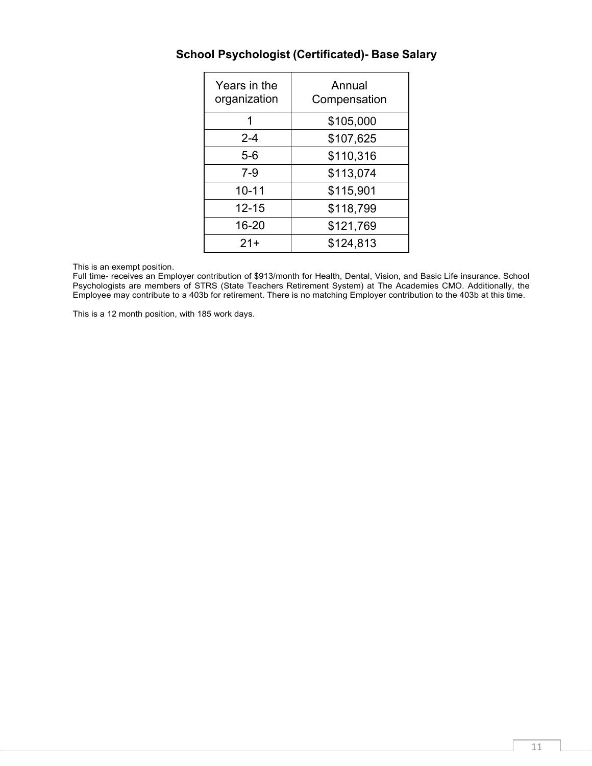| Years in the<br>organization | Annual<br>Compensation |
|------------------------------|------------------------|
| 1                            | \$105,000              |
| $2 - 4$                      | \$107,625              |
| $5-6$                        | \$110,316              |
| 7-9                          | \$113,074              |
| $10 - 11$                    | \$115,901              |
| $12 - 15$                    | \$118,799              |
| 16-20                        | \$121,769              |
| $21+$                        | \$124,813              |

# <span id="page-10-0"></span>**School Psychologist (Certificated)- Base Salary**

This is an exempt position.

Full time- receives an Employer contribution of \$913/month for Health, Dental, Vision, and Basic Life insurance. School Psychologists are members of STRS (State Teachers Retirement System) at The Academies CMO. Additionally, the Employee may contribute to a 403b for retirement. There is no matching Employer contribution to the 403b at this time.

This is a 12 month position, with 185 work days.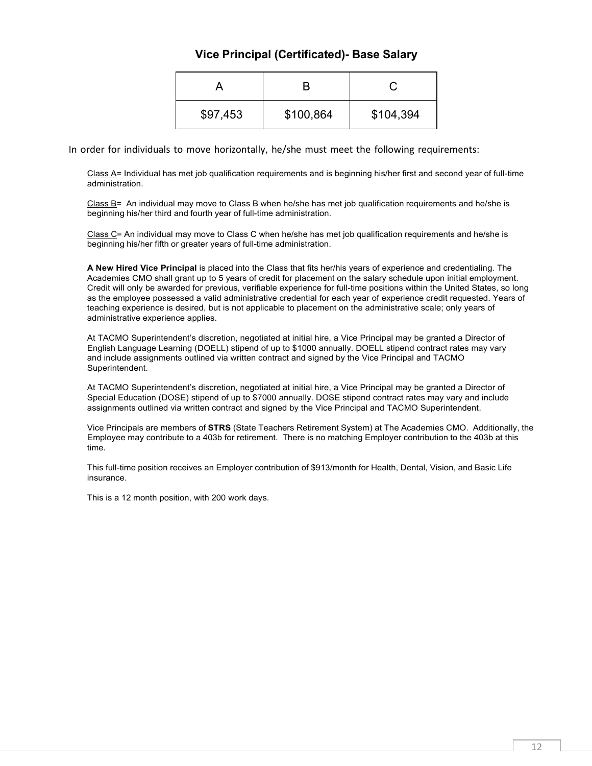### **Vice Principal (Certificated)- Base Salary**

| \$97,453 | \$100,864 | \$104,394 |
|----------|-----------|-----------|

<span id="page-11-0"></span>In order for individuals to move horizontally, he/she must meet the following requirements:

Class A= Individual has met job qualification requirements and is beginning his/her first and second year of full-time administration.

Class B= An individual may move to Class B when he/she has met job qualification requirements and he/she is beginning his/her third and fourth year of full-time administration.

Class C= An individual may move to Class C when he/she has met job qualification requirements and he/she is beginning his/her fifth or greater years of full-time administration.

**A New Hired Vice Principal** is placed into the Class that fits her/his years of experience and credentialing. The Academies CMO shall grant up to 5 years of credit for placement on the salary schedule upon initial employment. Credit will only be awarded for previous, verifiable experience for full-time positions within the United States, so long as the employee possessed a valid administrative credential for each year of experience credit requested. Years of teaching experience is desired, but is not applicable to placement on the administrative scale; only years of administrative experience applies.

At TACMO Superintendent's discretion, negotiated at initial hire, a Vice Principal may be granted a Director of English Language Learning (DOELL) stipend of up to \$1000 annually. DOELL stipend contract rates may vary and include assignments outlined via written contract and signed by the Vice Principal and TACMO Superintendent.

At TACMO Superintendent's discretion, negotiated at initial hire, a Vice Principal may be granted a Director of Special Education (DOSE) stipend of up to \$7000 annually. DOSE stipend contract rates may vary and include assignments outlined via written contract and signed by the Vice Principal and TACMO Superintendent.

Vice Principals are members of **STRS** (State Teachers Retirement System) at The Academies CMO. Additionally, the Employee may contribute to a 403b for retirement. There is no matching Employer contribution to the 403b at this time.

This full-time position receives an Employer contribution of \$913/month for Health, Dental, Vision, and Basic Life insurance.

This is a 12 month position, with 200 work days.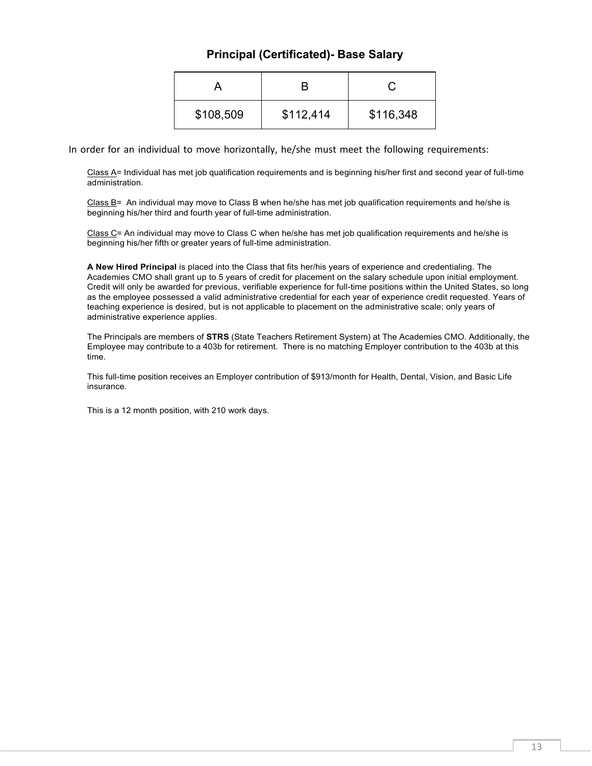## **Principal (Certificated)- Base Salary**

| \$108,509 | \$112,414 | \$116,348 |
|-----------|-----------|-----------|

<span id="page-12-0"></span>In order for an individual to move horizontally, he/she must meet the following requirements:

Class A= Individual has met job qualification requirements and is beginning his/her first and second year of full-time administration.

Class B= An individual may move to Class B when he/she has met job qualification requirements and he/she is beginning his/her third and fourth year of full-time administration.

Class C= An individual may move to Class C when he/she has met job qualification requirements and he/she is beginning his/her fifth or greater years of full-time administration.

**A New Hired Principal** is placed into the Class that fits her/his years of experience and credentialing. The Academies CMO shall grant up to 5 years of credit for placement on the salary schedule upon initial employment. Credit will only be awarded for previous, verifiable experience for full-time positions within the United States, so long as the employee possessed a valid administrative credential for each year of experience credit requested. Years of teaching experience is desired, but is not applicable to placement on the administrative scale; only years of administrative experience applies.

The Principals are members of **STRS** (State Teachers Retirement System) at The Academies CMO. Additionally, the Employee may contribute to a 403b for retirement. There is no matching Employer contribution to the 403b at this time.

This full-time position receives an Employer contribution of \$913/month for Health, Dental, Vision, and Basic Life insurance.

This is a 12 month position, with 210 work days.